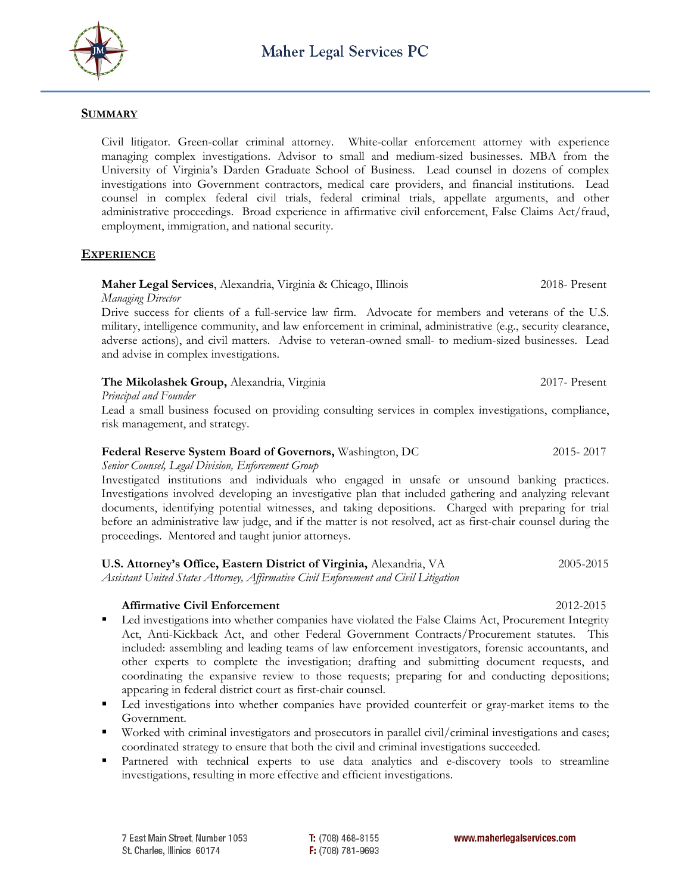

## **SUMMARY**

Civil litigator. Green-collar criminal attorney. White-collar enforcement attorney with experience managing complex investigations. Advisor to small and medium-sized businesses. MBA from the University of Virginia's Darden Graduate School of Business. Lead counsel in dozens of complex investigations into Government contractors, medical care providers, and financial institutions. Lead counsel in complex federal civil trials, federal criminal trials, appellate arguments, and other administrative proceedings. Broad experience in affirmative civil enforcement, False Claims Act/fraud, employment, immigration, and national security.

# **EXPERIENCE**

## **Maher Legal Services**, Alexandria, Virginia & Chicago, Illinois2018- Present

*Managing Director*

Drive success for clients of a full-service law firm. Advocate for members and veterans of the U.S. military, intelligence community, and law enforcement in criminal, administrative (e.g., security clearance, adverse actions), and civil matters. Advise to veteran-owned small- to medium-sized businesses. Lead and advise in complex investigations.

#### **The Mikolashek Group,** Alexandria, Virginia2017- Present

*Principal and Founder*

Lead a small business focused on providing consulting services in complex investigations, compliance, risk management, and strategy.

### **Federal Reserve System Board of Governors,** Washington, DC2015- 2017

### *Senior Counsel, Legal Division, Enforcement Group*

Investigated institutions and individuals who engaged in unsafe or unsound banking practices. Investigations involved developing an investigative plan that included gathering and analyzing relevant documents, identifying potential witnesses, and taking depositions. Charged with preparing for trial before an administrative law judge, and if the matter is not resolved, act as first-chair counsel during the proceedings. Mentored and taught junior attorneys.

| U.S. Attorney's Office, Eastern District of Virginia, Alexandria, VA                                                            | 2005-2015 |
|---------------------------------------------------------------------------------------------------------------------------------|-----------|
| $A \rightarrow B$ and $A \rightarrow C$ and $A \rightarrow C$ and $A \rightarrow C$ and $A \rightarrow C$ and $A \rightarrow C$ |           |

*Assistant United States Attorney, Affirmative Civil Enforcement and Civil Litigation*

## **Affirmative Civil Enforcement** 2012-2015

- Led investigations into whether companies have violated the False Claims Act, Procurement Integrity Act, Anti-Kickback Act, and other Federal Government Contracts/Procurement statutes. This included: assembling and leading teams of law enforcement investigators, forensic accountants, and other experts to complete the investigation; drafting and submitting document requests, and coordinating the expansive review to those requests; preparing for and conducting depositions; appearing in federal district court as first-chair counsel.
- Led investigations into whether companies have provided counterfeit or gray-market items to the Government.
- Worked with criminal investigators and prosecutors in parallel civil/criminal investigations and cases; coordinated strategy to ensure that both the civil and criminal investigations succeeded.
- Partnered with technical experts to use data analytics and e-discovery tools to streamline investigations, resulting in more effective and efficient investigations.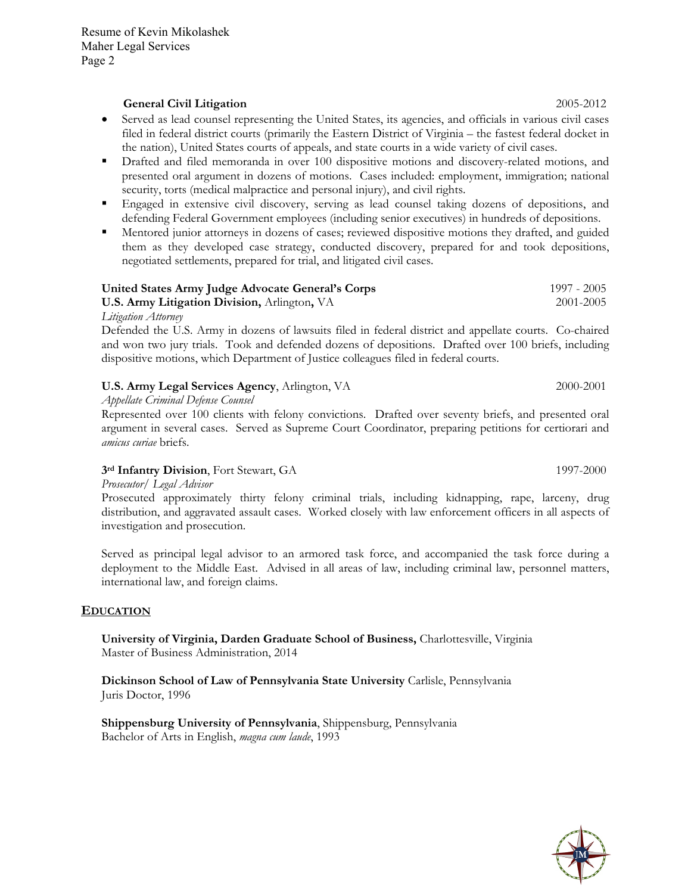### **General Civil Litigation** 2005-2012

- Served as lead counsel representing the United States, its agencies, and officials in various civil cases filed in federal district courts (primarily the Eastern District of Virginia – the fastest federal docket in the nation), United States courts of appeals, and state courts in a wide variety of civil cases.
- Drafted and filed memoranda in over 100 dispositive motions and discovery-related motions, and presented oral argument in dozens of motions. Cases included: employment, immigration; national security, torts (medical malpractice and personal injury), and civil rights.
- Engaged in extensive civil discovery, serving as lead counsel taking dozens of depositions, and defending Federal Government employees (including senior executives) in hundreds of depositions.
- Mentored junior attorneys in dozens of cases; reviewed dispositive motions they drafted, and guided them as they developed case strategy, conducted discovery, prepared for and took depositions, negotiated settlements, prepared for trial, and litigated civil cases.

| United States Army Judge Advocate General's Corps                                                                                                                                                                                | 1997 - 2005 |
|----------------------------------------------------------------------------------------------------------------------------------------------------------------------------------------------------------------------------------|-------------|
| <b>U.S. Army Litigation Division, Arlington, VA</b>                                                                                                                                                                              | 2001-2005   |
| $\mathbf{r}$ , and the set of the set of the set of the set of the set of the set of the set of the set of the set of the set of the set of the set of the set of the set of the set of the set of the set of the set of the set |             |

*Litigation Attorney*

Defended the U.S. Army in dozens of lawsuits filed in federal district and appellate courts. Co-chaired and won two jury trials. Took and defended dozens of depositions. Drafted over 100 briefs, including dispositive motions, which Department of Justice colleagues filed in federal courts.

#### **U.S. Army Legal Services Agency**, Arlington, VA 2000-2001

*Appellate Criminal Defense Counsel*

Represented over 100 clients with felony convictions. Drafted over seventy briefs, and presented oral argument in several cases. Served as Supreme Court Coordinator, preparing petitions for certiorari and *amicus curiae* briefs.

## **3rd Infantry Division**, Fort Stewart, GA 1997-2000

*Prosecutor/ Legal Advisor* 

Prosecuted approximately thirty felony criminal trials, including kidnapping, rape, larceny, drug distribution, and aggravated assault cases. Worked closely with law enforcement officers in all aspects of investigation and prosecution.

Served as principal legal advisor to an armored task force, and accompanied the task force during a deployment to the Middle East. Advised in all areas of law, including criminal law, personnel matters, international law, and foreign claims.

## **EDUCATION**

**University of Virginia, Darden Graduate School of Business,** Charlottesville, Virginia Master of Business Administration, 2014

**Dickinson School of Law of Pennsylvania State University** Carlisle, Pennsylvania Juris Doctor, 1996

**Shippensburg University of Pennsylvania**, Shippensburg, Pennsylvania Bachelor of Arts in English, *magna cum laude*, 1993

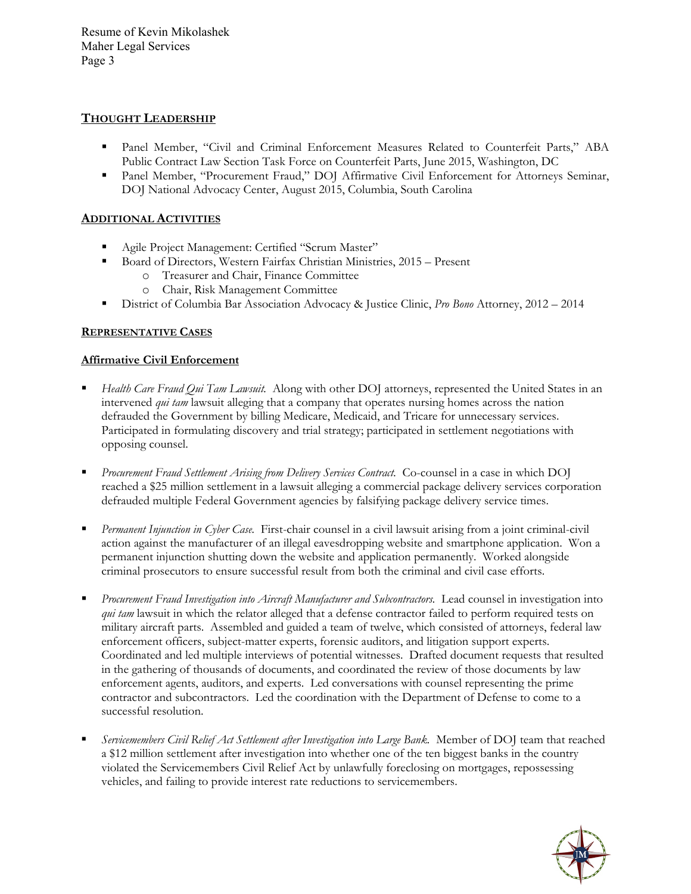Resume of Kevin Mikolashek Maher Legal Services Page 3

## **THOUGHT LEADERSHIP**

- Panel Member, "Civil and Criminal Enforcement Measures Related to Counterfeit Parts," ABA Public Contract Law Section Task Force on Counterfeit Parts, June 2015, Washington, DC
- Panel Member, "Procurement Fraud," DOJ Affirmative Civil Enforcement for Attorneys Seminar, DOJ National Advocacy Center, August 2015, Columbia, South Carolina

# **ADDITIONAL ACTIVITIES**

- Agile Project Management: Certified "Scrum Master"
- Board of Directors, Western Fairfax Christian Ministries, 2015 Present
	- o Treasurer and Chair, Finance Committee
	- o Chair, Risk Management Committee
- District of Columbia Bar Association Advocacy & Justice Clinic, *Pro Bono* Attorney, 2012 2014

## **REPRESENTATIVE CASES**

## **Affirmative Civil Enforcement**

- *Health Care Fraud Qui Tam Lawsuit.* Along with other DOJ attorneys, represented the United States in an intervened *qui tam* lawsuit alleging that a company that operates nursing homes across the nation defrauded the Government by billing Medicare, Medicaid, and Tricare for unnecessary services. Participated in formulating discovery and trial strategy; participated in settlement negotiations with opposing counsel.
- *Procurement Fraud Settlement Arising from Delivery Services Contract.* Co-counsel in a case in which DOJ reached a \$25 million settlement in a lawsuit alleging a commercial package delivery services corporation defrauded multiple Federal Government agencies by falsifying package delivery service times.
- *Permanent Injunction in Cyber Case.* First-chair counsel in a civil lawsuit arising from a joint criminal-civil action against the manufacturer of an illegal eavesdropping website and smartphone application. Won a permanent injunction shutting down the website and application permanently. Worked alongside criminal prosecutors to ensure successful result from both the criminal and civil case efforts.
- *Procurement Fraud Investigation into Aircraft Manufacturer and Subcontractors.* Lead counsel in investigation into *qui tam* lawsuit in which the relator alleged that a defense contractor failed to perform required tests on military aircraft parts. Assembled and guided a team of twelve, which consisted of attorneys, federal law enforcement officers, subject-matter experts, forensic auditors, and litigation support experts. Coordinated and led multiple interviews of potential witnesses. Drafted document requests that resulted in the gathering of thousands of documents, and coordinated the review of those documents by law enforcement agents, auditors, and experts. Led conversations with counsel representing the prime contractor and subcontractors. Led the coordination with the Department of Defense to come to a successful resolution.
- *Servicemembers Civil Relief Act Settlement after Investigation into Large Bank.* Member of DOJ team that reached a \$12 million settlement after investigation into whether one of the ten biggest banks in the country violated the Servicemembers Civil Relief Act by unlawfully foreclosing on mortgages, repossessing vehicles, and failing to provide interest rate reductions to servicemembers.